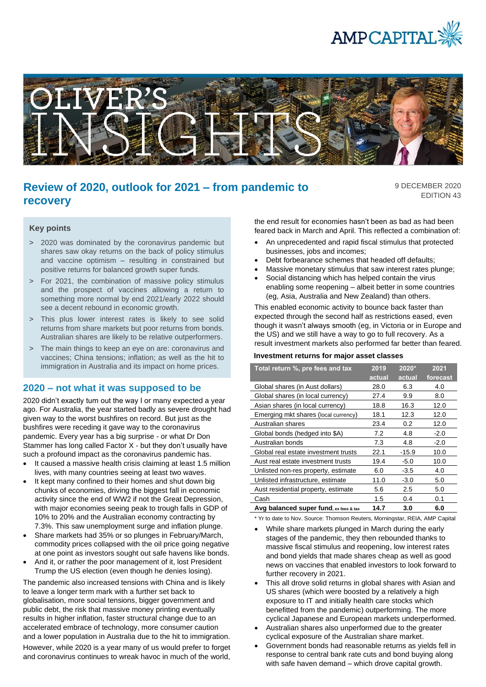



# **Review of 2020, outlook for 2021 – from pandemic to recovery**

9 DECEMBER 2020 EDITION 43

#### **Key points**

- > 2020 was dominated by the coronavirus pandemic but shares saw okay returns on the back of policy stimulus and vaccine optimism – resulting in constrained but positive returns for balanced growth super funds.
- > For 2021, the combination of massive policy stimulus and the prospect of vaccines allowing a return to something more normal by end 2021/early 2022 should see a decent rebound in economic growth.
- > This plus lower interest rates is likely to see solid returns from share markets but poor returns from bonds. Australian shares are likely to be relative outperformers.
- > The main things to keep an eye on are: coronavirus and vaccines; China tensions; inflation; as well as the hit to immigration in Australia and its impact on home prices.

#### **2020 – not what it was supposed to be**

2020 didn't exactly turn out the way I or many expected a year ago. For Australia, the year started badly as severe drought had given way to the worst bushfires on record. But just as the bushfires were receding it gave way to the coronavirus pandemic. Every year has a big surprise - or what Dr Don Stammer has long called Factor X - but they don't usually have such a profound impact as the coronavirus pandemic has.

- It caused a massive health crisis claiming at least 1.5 million lives, with many countries seeing at least two waves.
- It kept many confined to their homes and shut down big chunks of economies, driving the biggest fall in economic activity since the end of WW2 if not the Great Depression, with major economies seeing peak to trough falls in GDP of 10% to 20% and the Australian economy contracting by 7.3%. This saw unemployment surge and inflation plunge.
- Share markets had 35% or so plunges in February/March, commodity prices collapsed with the oil price going negative at one point as investors sought out safe havens like bonds.
- And it, or rather the poor management of it, lost President Trump the US election (even though he denies losing).

The pandemic also increased tensions with China and is likely to leave a longer term mark with a further set back to globalisation, more social tensions, bigger government and public debt, the risk that massive money printing eventually results in higher inflation, faster structural change due to an accelerated embrace of technology, more consumer caution and a lower population in Australia due to the hit to immigration. However, while 2020 is a year many of us would prefer to forget and coronavirus continues to wreak havoc in much of the world,

the end result for economies hasn't been as bad as had been feared back in March and April. This reflected a combination of:

- An unprecedented and rapid fiscal stimulus that protected businesses, jobs and incomes;
- Debt forbearance schemes that headed off defaults;
- Massive monetary stimulus that saw interest rates plunge;
- Social distancing which has helped contain the virus enabling some reopening – albeit better in some countries (eg, Asia, Australia and New Zealand) than others.

This enabled economic activity to bounce back faster than expected through the second half as restrictions eased, even though it wasn't always smooth (eg, in Victoria or in Europe and the US) and we still have a way to go to full recovery. As a result investment markets also performed far better than feared.

#### **Investment returns for major asset classes**

| Total return %, pre fees and tax       | 2019   | $2020*$ | 2021     |
|----------------------------------------|--------|---------|----------|
|                                        | actual | actual  | forecast |
| Global shares (in Aust dollars)        | 28.0   | 6.3     | 4.0      |
| Global shares (in local currency)      | 27.4   | 9.9     | 8.0      |
| Asian shares (in local currency)       | 18.8   | 16.3    | 12.0     |
| Emerging mkt shares (local currency)   | 18.1   | 12.3    | 12.0     |
| Australian shares                      | 23.4   | 0.2     | 12.0     |
| Global bonds (hedged into \$A)         | 7.2    | 4.8     | $-2.0$   |
| Australian bonds                       | 7.3    | 4.8     | $-2.0$   |
| Global real estate investment trusts   | 22.1   | $-15.9$ | 10.0     |
| Aust real estate investment trusts     | 19.4   | $-5.0$  | 10.0     |
| Unlisted non-res property, estimate    | 6.0    | $-3.5$  | 4.0      |
| Unlisted infrastructure, estimate      | 11.0   | $-3.0$  | 5.0      |
| Aust residential property, estimate    | 5.6    | 2.5     | 5.0      |
| Cash                                   | 1.5    | 0.4     | 0.1      |
| Avg balanced super fund, ex fees & tax | 14.7   | 3.0     | 6.0      |

\* Yr to date to Nov. Source: Thomson Reuters, Morningstar, REIA, AMP Capital

- While share markets plunged in March during the early stages of the pandemic, they then rebounded thanks to massive fiscal stimulus and reopening, low interest rates and bond yields that made shares cheap as well as good news on vaccines that enabled investors to look forward to further recovery in 2021.
- This all drove solid returns in global shares with Asian and US shares (which were boosted by a relatively a high exposure to IT and initially health care stocks which benefitted from the pandemic) outperforming. The more cyclical Japanese and European markets underperformed.
- Australian shares also unperformed due to the greater cyclical exposure of the Australian share market.
- Government bonds had reasonable returns as yields fell in response to central bank rate cuts and bond buying along with safe haven demand – which drove capital growth.